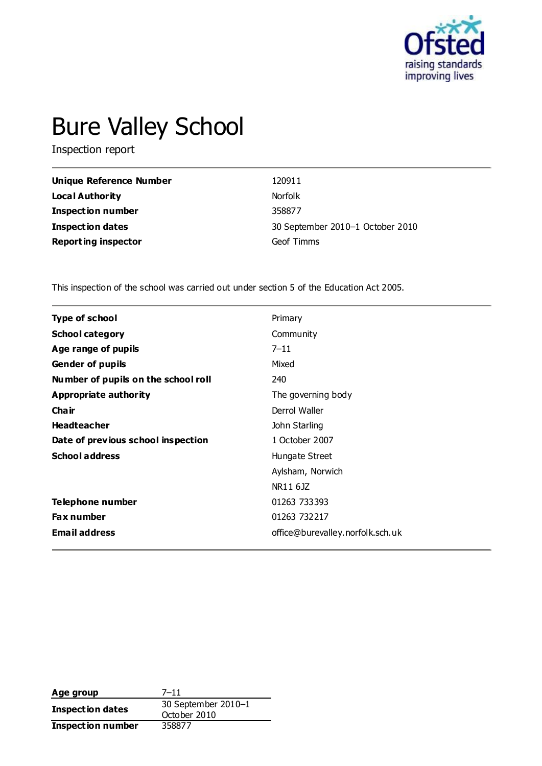

# Bure Valley School

Inspection report

| <b>Unique Reference Number</b> | 120911                           |
|--------------------------------|----------------------------------|
| Local Authority                | <b>Norfolk</b>                   |
| <b>Inspection number</b>       | 358877                           |
| <b>Inspection dates</b>        | 30 September 2010-1 October 2010 |
| <b>Reporting inspector</b>     | Geof Timms                       |

This inspection of the school was carried out under section 5 of the Education Act 2005.

| Type of school                      | Primary                          |
|-------------------------------------|----------------------------------|
| <b>School category</b>              | Community                        |
| Age range of pupils                 | $7 - 11$                         |
| <b>Gender of pupils</b>             | Mixed                            |
| Number of pupils on the school roll | 240                              |
| Appropriate authority               | The governing body               |
| Cha ir                              | Derrol Waller                    |
| <b>Headteacher</b>                  | John Starling                    |
| Date of previous school inspection  | 1 October 2007                   |
| <b>School address</b>               | Hungate Street                   |
|                                     | Aylsham, Norwich                 |
|                                     | NR11 6JZ                         |
| Telephone number                    | 01263 733393                     |
| <b>Fax number</b>                   | 01263 732217                     |
| <b>Email address</b>                | office@burevalley.norfolk.sch.uk |

Age group 7–11 **Inspection dates** 30 September 2010–<sup>1</sup> October 2010 **Inspection number** 358877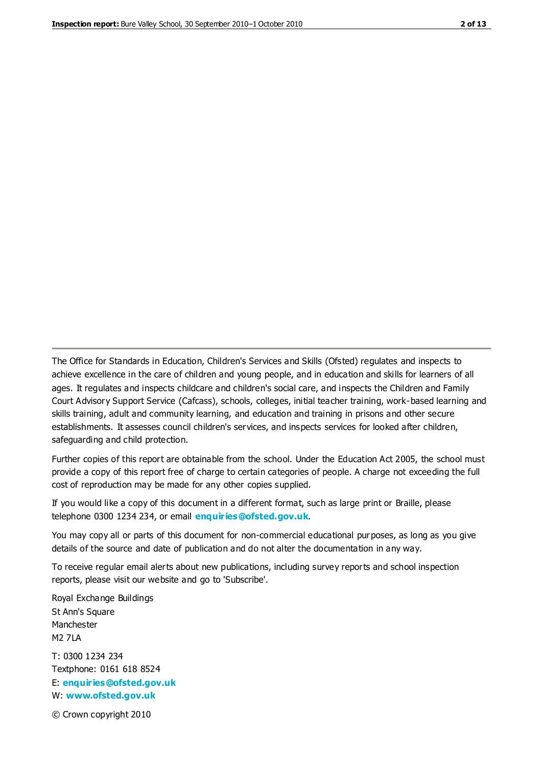The Office for Standards in Education, Children's Services and Skills (Ofsted) regulates and inspects to achieve excellence in the care of children and young people, and in education and skills for learners of all ages. It regulates and inspects childcare and children's social care, and inspects the Children and Family Court Advisory Support Service (Cafcass), schools, colleges, initial teacher training, work-based learning and skills training, adult and community learning, and education and training in prisons and other secure establishments. It assesses council children's services, and inspects services for looked after children, safeguarding and child protection.

Further copies of this report are obtainable from the school. Under the Education Act 2005, the school must provide a copy of this report free of charge to certain categories of people. A charge not exceeding the full cost of reproduction may be made for any other copies supplied.

If you would like a copy of this document in a different format, such as large print or Braille, please telephone 0300 1234 234, or email **[enquiries@ofsted.gov.uk](mailto:enquiries@ofsted.gov.uk)**.

You may copy all or parts of this document for non-commercial educational purposes, as long as you give details of the source and date of publication and do not alter the documentation in any way.

To receive regular email alerts about new publications, including survey reports and school inspection reports, please visit our website and go to 'Subscribe'.

Royal Exchange Buildings St Ann's Square Manchester M2 7LA T: 0300 1234 234 Textphone: 0161 618 8524 E: **[enquiries@ofsted.gov.uk](mailto:enquiries@ofsted.gov.uk)**

W: **[www.ofsted.gov.uk](http://www.ofsted.gov.uk/)**

© Crown copyright 2010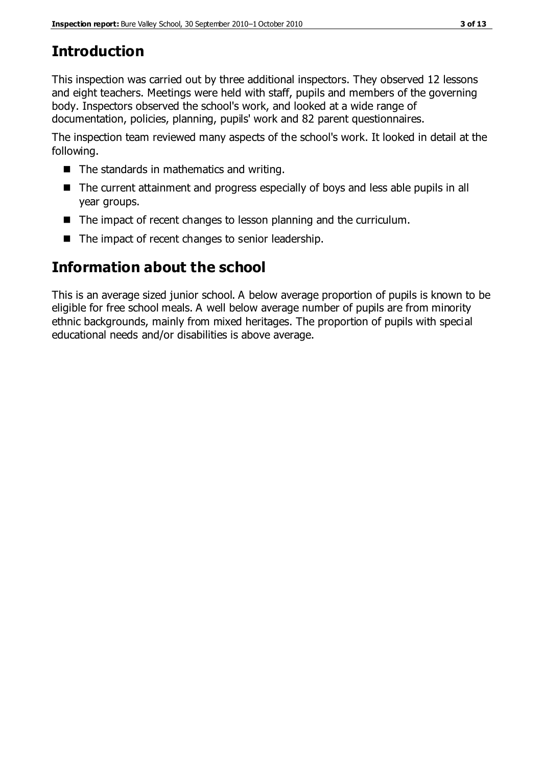# **Introduction**

This inspection was carried out by three additional inspectors. They observed 12 lessons and eight teachers. Meetings were held with staff, pupils and members of the governing body. Inspectors observed the school's work, and looked at a wide range of documentation, policies, planning, pupils' work and 82 parent questionnaires.

The inspection team reviewed many aspects of the school's work. It looked in detail at the following.

- $\blacksquare$  The standards in mathematics and writing.
- The current attainment and progress especially of boys and less able pupils in all year groups.
- The impact of recent changes to lesson planning and the curriculum.
- The impact of recent changes to senior leadership.

# **Information about the school**

This is an average sized junior school. A below average proportion of pupils is known to be eligible for free school meals. A well below average number of pupils are from minority ethnic backgrounds, mainly from mixed heritages. The proportion of pupils with special educational needs and/or disabilities is above average.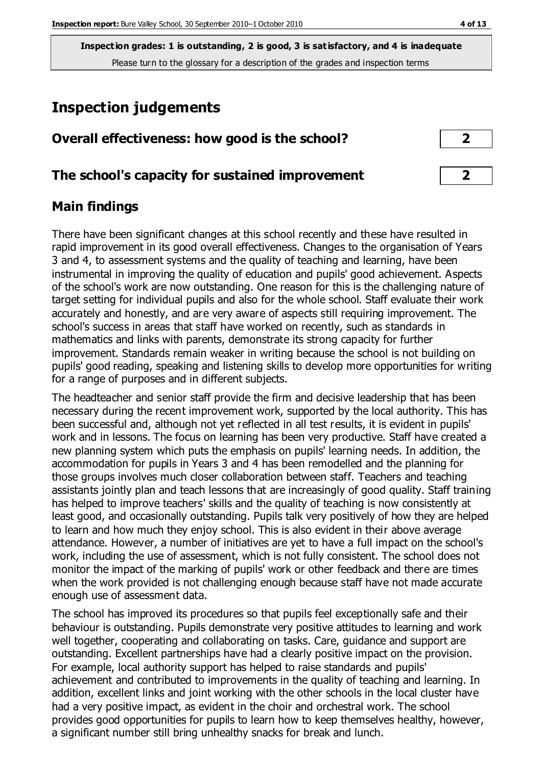**Inspection grades: 1 is outstanding, 2 is good, 3 is satisfactory, and 4 is inadequate** Please turn to the glossary for a description of the grades and inspection terms

# **Inspection judgements**

| Overall effectiveness: how good is the school? |  |
|------------------------------------------------|--|
|------------------------------------------------|--|

## **The school's capacity for sustained improvement 2**

## **Main findings**

There have been significant changes at this school recently and these have resulted in rapid improvement in its good overall effectiveness. Changes to the organisation of Years 3 and 4, to assessment systems and the quality of teaching and learning, have been instrumental in improving the quality of education and pupils' good achievement. Aspects of the school's work are now outstanding. One reason for this is the challenging nature of target setting for individual pupils and also for the whole school. Staff evaluate their work accurately and honestly, and are very aware of aspects still requiring improvement. The school's success in areas that staff have worked on recently, such as standards in mathematics and links with parents, demonstrate its strong capacity for further improvement. Standards remain weaker in writing because the school is not building on pupils' good reading, speaking and listening skills to develop more opportunities for writing for a range of purposes and in different subjects.

The headteacher and senior staff provide the firm and decisive leadership that has been necessary during the recent improvement work, supported by the local authority. This has been successful and, although not yet reflected in all test results, it is evident in pupils' work and in lessons. The focus on learning has been very productive. Staff have created a new planning system which puts the emphasis on pupils' learning needs. In addition, the accommodation for pupils in Years 3 and 4 has been remodelled and the planning for those groups involves much closer collaboration between staff. Teachers and teaching assistants jointly plan and teach lessons that are increasingly of good quality. Staff training has helped to improve teachers' skills and the quality of teaching is now consistently at least good, and occasionally outstanding. Pupils talk very positively of how they are helped to learn and how much they enjoy school. This is also evident in their above average attendance. However, a number of initiatives are yet to have a full impact on the school's work, including the use of assessment, which is not fully consistent. The school does not monitor the impact of the marking of pupils' work or other feedback and there are times when the work provided is not challenging enough because staff have not made accurate enough use of assessment data.

The school has improved its procedures so that pupils feel exceptionally safe and their behaviour is outstanding. Pupils demonstrate very positive attitudes to learning and work well together, cooperating and collaborating on tasks. Care, guidance and support are outstanding. Excellent partnerships have had a clearly positive impact on the provision. For example, local authority support has helped to raise standards and pupils' achievement and contributed to improvements in the quality of teaching and learning. In addition, excellent links and joint working with the other schools in the local cluster have had a very positive impact, as evident in the choir and orchestral work. The school provides good opportunities for pupils to learn how to keep themselves healthy, however, a significant number still bring unhealthy snacks for break and lunch.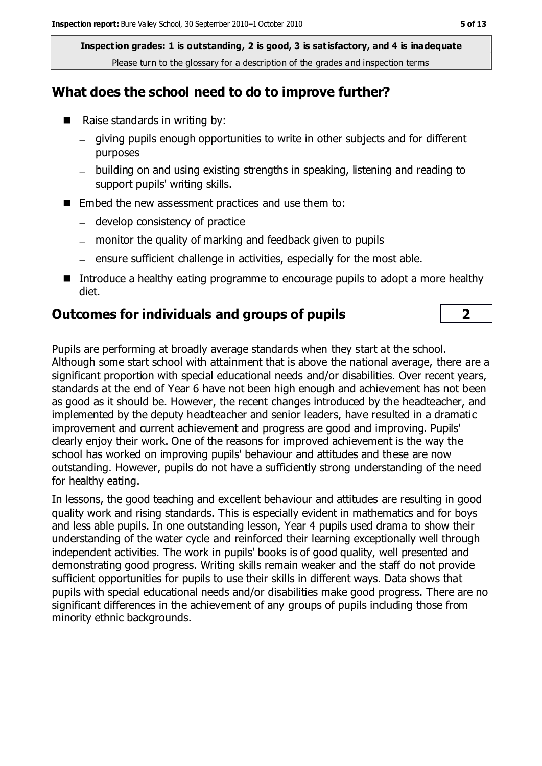**Inspection grades: 1 is outstanding, 2 is good, 3 is satisfactory, and 4 is inadequate** Please turn to the glossary for a description of the grades and inspection terms

## **What does the school need to do to improve further?**

- Raise standards in writing by:
	- giving pupils enough opportunities to write in other subjects and for different purposes
	- building on and using existing strengths in speaking, listening and reading to support pupils' writing skills.
- Embed the new assessment practices and use them to:
	- develop consistency of practice
	- monitor the quality of marking and feedback given to pupils
	- $-$  ensure sufficient challenge in activities, especially for the most able.
- Introduce a healthy eating programme to encourage pupils to adopt a more healthy diet.

#### **Outcomes for individuals and groups of pupils 2**

Pupils are performing at broadly average standards when they start at the school. Although some start school with attainment that is above the national average, there are a significant proportion with special educational needs and/or disabilities. Over recent years, standards at the end of Year 6 have not been high enough and achievement has not been as good as it should be. However, the recent changes introduced by the headteacher, and implemented by the deputy headteacher and senior leaders, have resulted in a dramatic improvement and current achievement and progress are good and improving. Pupils' clearly enjoy their work. One of the reasons for improved achievement is the way the school has worked on improving pupils' behaviour and attitudes and these are now outstanding. However, pupils do not have a sufficiently strong understanding of the need for healthy eating.

In lessons, the good teaching and excellent behaviour and attitudes are resulting in good quality work and rising standards. This is especially evident in mathematics and for boys and less able pupils. In one outstanding lesson, Year 4 pupils used drama to show their understanding of the water cycle and reinforced their learning exceptionally well through independent activities. The work in pupils' books is of good quality, well presented and demonstrating good progress. Writing skills remain weaker and the staff do not provide sufficient opportunities for pupils to use their skills in different ways. Data shows that pupils with special educational needs and/or disabilities make good progress. There are no significant differences in the achievement of any groups of pupils including those from minority ethnic backgrounds.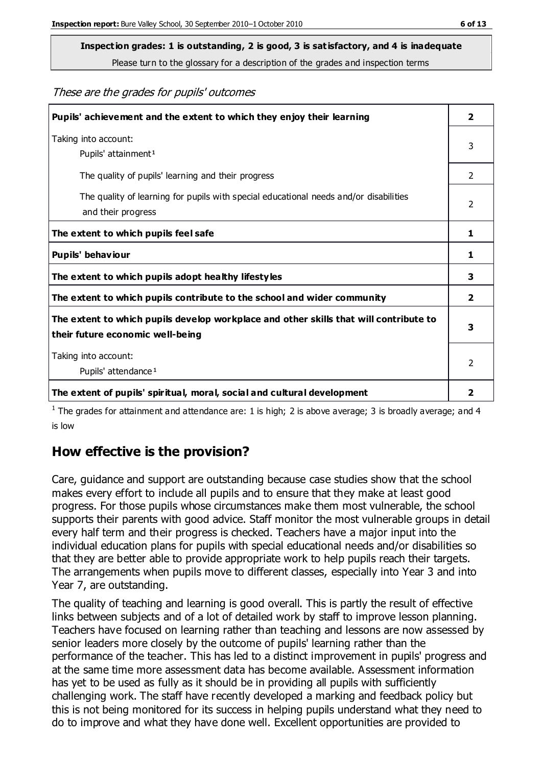**Inspection grades: 1 is outstanding, 2 is good, 3 is satisfactory, and 4 is inadequate**

Please turn to the glossary for a description of the grades and inspection terms

These are the grades for pupils' outcomes

| Pupils' achievement and the extent to which they enjoy their learning                                                     |                |
|---------------------------------------------------------------------------------------------------------------------------|----------------|
| Taking into account:<br>Pupils' attainment <sup>1</sup>                                                                   |                |
| The quality of pupils' learning and their progress                                                                        | $\mathfrak{D}$ |
| The quality of learning for pupils with special educational needs and/or disabilities<br>and their progress               | $\overline{2}$ |
| The extent to which pupils feel safe                                                                                      | 1              |
| Pupils' behaviour                                                                                                         | 1              |
| The extent to which pupils adopt healthy lifestyles                                                                       | 3              |
| The extent to which pupils contribute to the school and wider community                                                   | $\mathbf{z}$   |
| The extent to which pupils develop workplace and other skills that will contribute to<br>their future economic well-being |                |
| Taking into account:<br>Pupils' attendance <sup>1</sup>                                                                   |                |
| The extent of pupils' spiritual, moral, social and cultural development                                                   | 2              |

<sup>1</sup> The grades for attainment and attendance are: 1 is high; 2 is above average; 3 is broadly average; and 4 is low

## **How effective is the provision?**

Care, guidance and support are outstanding because case studies show that the school makes every effort to include all pupils and to ensure that they make at least good progress. For those pupils whose circumstances make them most vulnerable, the school supports their parents with good advice. Staff monitor the most vulnerable groups in detail every half term and their progress is checked. Teachers have a major input into the individual education plans for pupils with special educational needs and/or disabilities so that they are better able to provide appropriate work to help pupils reach their targets. The arrangements when pupils move to different classes, especially into Year 3 and into Year 7, are outstanding.

The quality of teaching and learning is good overall. This is partly the result of effective links between subjects and of a lot of detailed work by staff to improve lesson planning. Teachers have focused on learning rather than teaching and lessons are now assessed by senior leaders more closely by the outcome of pupils' learning rather than the performance of the teacher. This has led to a distinct improvement in pupils' progress and at the same time more assessment data has become available. Assessment information has yet to be used as fully as it should be in providing all pupils with sufficiently challenging work. The staff have recently developed a marking and feedback policy but this is not being monitored for its success in helping pupils understand what they need to do to improve and what they have done well. Excellent opportunities are provided to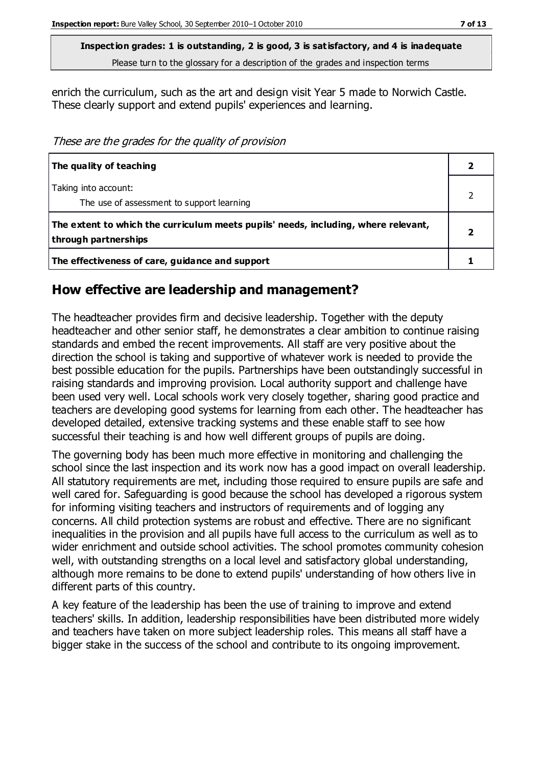**Inspection grades: 1 is outstanding, 2 is good, 3 is satisfactory, and 4 is inadequate** Please turn to the glossary for a description of the grades and inspection terms

enrich the curriculum, such as the art and design visit Year 5 made to Norwich Castle. These clearly support and extend pupils' experiences and learning.

These are the grades for the quality of provision

| The quality of teaching                                                                                    |  |
|------------------------------------------------------------------------------------------------------------|--|
| Taking into account:<br>The use of assessment to support learning                                          |  |
| The extent to which the curriculum meets pupils' needs, including, where relevant,<br>through partnerships |  |
| The effectiveness of care, guidance and support                                                            |  |

#### **How effective are leadership and management?**

The headteacher provides firm and decisive leadership. Together with the deputy headteacher and other senior staff, he demonstrates a clear ambition to continue raising standards and embed the recent improvements. All staff are very positive about the direction the school is taking and supportive of whatever work is needed to provide the best possible education for the pupils. Partnerships have been outstandingly successful in raising standards and improving provision. Local authority support and challenge have been used very well. Local schools work very closely together, sharing good practice and teachers are developing good systems for learning from each other. The headteacher has developed detailed, extensive tracking systems and these enable staff to see how successful their teaching is and how well different groups of pupils are doing.

The governing body has been much more effective in monitoring and challenging the school since the last inspection and its work now has a good impact on overall leadership. All statutory requirements are met, including those required to ensure pupils are safe and well cared for. Safeguarding is good because the school has developed a rigorous system for informing visiting teachers and instructors of requirements and of logging any concerns. All child protection systems are robust and effective. There are no significant inequalities in the provision and all pupils have full access to the curriculum as well as to wider enrichment and outside school activities. The school promotes community cohesion well, with outstanding strengths on a local level and satisfactory global understanding, although more remains to be done to extend pupils' understanding of how others live in different parts of this country.

A key feature of the leadership has been the use of training to improve and extend teachers' skills. In addition, leadership responsibilities have been distributed more widely and teachers have taken on more subject leadership roles. This means all staff have a bigger stake in the success of the school and contribute to its ongoing improvement.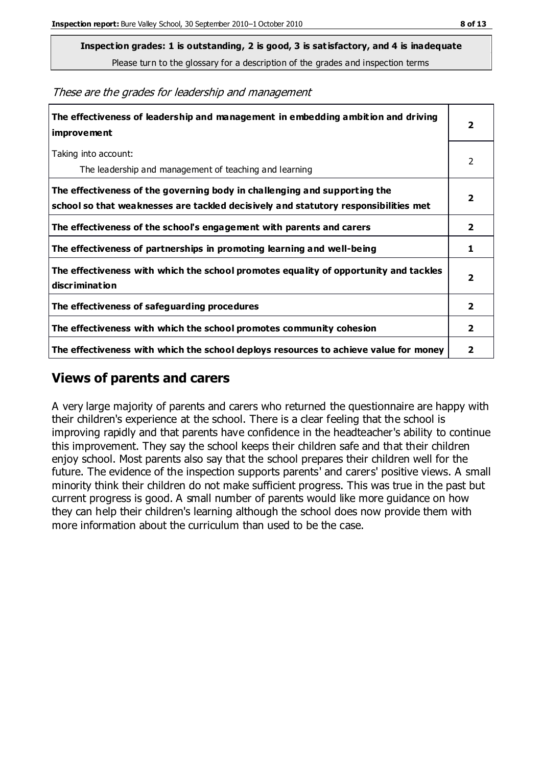**Inspection grades: 1 is outstanding, 2 is good, 3 is satisfactory, and 4 is inadequate**

Please turn to the glossary for a description of the grades and inspection terms

These are the grades for leadership and management

| The effectiveness of leadership and management in embedding ambition and driving<br>improvement                                                                  |                         |
|------------------------------------------------------------------------------------------------------------------------------------------------------------------|-------------------------|
| Taking into account:<br>The leadership and management of teaching and learning                                                                                   | 2                       |
| The effectiveness of the governing body in challenging and supporting the<br>school so that weaknesses are tackled decisively and statutory responsibilities met | 2                       |
| The effectiveness of the school's engagement with parents and carers                                                                                             | $\overline{\mathbf{2}}$ |
| The effectiveness of partnerships in promoting learning and well-being                                                                                           | 1                       |
| The effectiveness with which the school promotes equality of opportunity and tackles<br>discrimination                                                           | $\overline{\mathbf{2}}$ |
| The effectiveness of safeguarding procedures                                                                                                                     | 2                       |
| The effectiveness with which the school promotes community cohesion                                                                                              | 2                       |
| The effectiveness with which the school deploys resources to achieve value for money                                                                             | 2                       |

#### **Views of parents and carers**

A very large majority of parents and carers who returned the questionnaire are happy with their children's experience at the school. There is a clear feeling that the school is improving rapidly and that parents have confidence in the headteacher's ability to continue this improvement. They say the school keeps their children safe and that their children enjoy school. Most parents also say that the school prepares their children well for the future. The evidence of the inspection supports parents' and carers' positive views. A small minority think their children do not make sufficient progress. This was true in the past but current progress is good. A small number of parents would like more guidance on how they can help their children's learning although the school does now provide them with more information about the curriculum than used to be the case.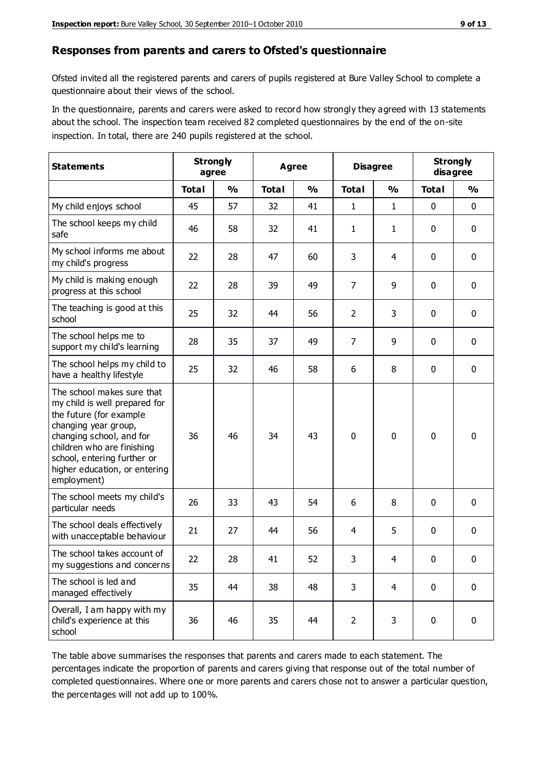#### **Responses from parents and carers to Ofsted's questionnaire**

Ofsted invited all the registered parents and carers of pupils registered at Bure Valley School to complete a questionnaire about their views of the school.

In the questionnaire, parents and carers were asked to record how strongly they agreed with 13 statements about the school. The inspection team received 82 completed questionnaires by the end of the on-site inspection. In total, there are 240 pupils registered at the school.

| <b>Statements</b>                                                                                                                                                                                                                                       | <b>Strongly</b><br>agree |               | Agree        |               | <b>Disagree</b> |                | <b>Strongly</b><br>disagree |               |
|---------------------------------------------------------------------------------------------------------------------------------------------------------------------------------------------------------------------------------------------------------|--------------------------|---------------|--------------|---------------|-----------------|----------------|-----------------------------|---------------|
|                                                                                                                                                                                                                                                         | <b>Total</b>             | $\frac{0}{0}$ | <b>Total</b> | $\frac{0}{0}$ | <b>Total</b>    | $\frac{0}{0}$  | <b>Total</b>                | $\frac{0}{0}$ |
| My child enjoys school                                                                                                                                                                                                                                  | 45                       | 57            | 32           | 41            | 1               | $\mathbf{1}$   | $\mathbf 0$                 | $\mathbf 0$   |
| The school keeps my child<br>safe                                                                                                                                                                                                                       | 46                       | 58            | 32           | 41            | 1               | $\mathbf{1}$   | $\mathbf 0$                 | $\mathbf 0$   |
| My school informs me about<br>my child's progress                                                                                                                                                                                                       | 22                       | 28            | 47           | 60            | 3               | 4              | $\mathbf 0$                 | $\mathbf 0$   |
| My child is making enough<br>progress at this school                                                                                                                                                                                                    | 22                       | 28            | 39           | 49            | 7               | 9              | 0                           | $\mathbf 0$   |
| The teaching is good at this<br>school                                                                                                                                                                                                                  | 25                       | 32            | 44           | 56            | $\overline{2}$  | 3              | $\mathbf 0$                 | $\mathbf 0$   |
| The school helps me to<br>support my child's learning                                                                                                                                                                                                   | 28                       | 35            | 37           | 49            | $\overline{7}$  | 9              | $\mathbf 0$                 | $\mathbf 0$   |
| The school helps my child to<br>have a healthy lifestyle                                                                                                                                                                                                | 25                       | 32            | 46           | 58            | 6               | 8              | $\mathbf 0$                 | $\mathbf 0$   |
| The school makes sure that<br>my child is well prepared for<br>the future (for example<br>changing year group,<br>changing school, and for<br>children who are finishing<br>school, entering further or<br>higher education, or entering<br>employment) | 36                       | 46            | 34           | 43            | $\mathbf 0$     | 0              | $\mathbf 0$                 | $\mathbf 0$   |
| The school meets my child's<br>particular needs                                                                                                                                                                                                         | 26                       | 33            | 43           | 54            | 6               | 8              | $\mathbf 0$                 | $\mathbf 0$   |
| The school deals effectively<br>with unacceptable behaviour                                                                                                                                                                                             | 21                       | 27            | 44           | 56            | 4               | 5              | $\mathbf 0$                 | 0             |
| The school takes account of<br>my suggestions and concerns                                                                                                                                                                                              | 22                       | 28            | 41           | 52            | 3               | 4              | 0                           | 0             |
| The school is led and<br>managed effectively                                                                                                                                                                                                            | 35                       | 44            | 38           | 48            | 3               | $\overline{4}$ | $\mathbf 0$                 | $\mathbf 0$   |
| Overall, I am happy with my<br>child's experience at this<br>school                                                                                                                                                                                     | 36                       | 46            | 35           | 44            | $\overline{2}$  | 3              | $\mathbf 0$                 | $\mathbf 0$   |

The table above summarises the responses that parents and carers made to each statement. The percentages indicate the proportion of parents and carers giving that response out of the total number of completed questionnaires. Where one or more parents and carers chose not to answer a particular question, the percentages will not add up to 100%.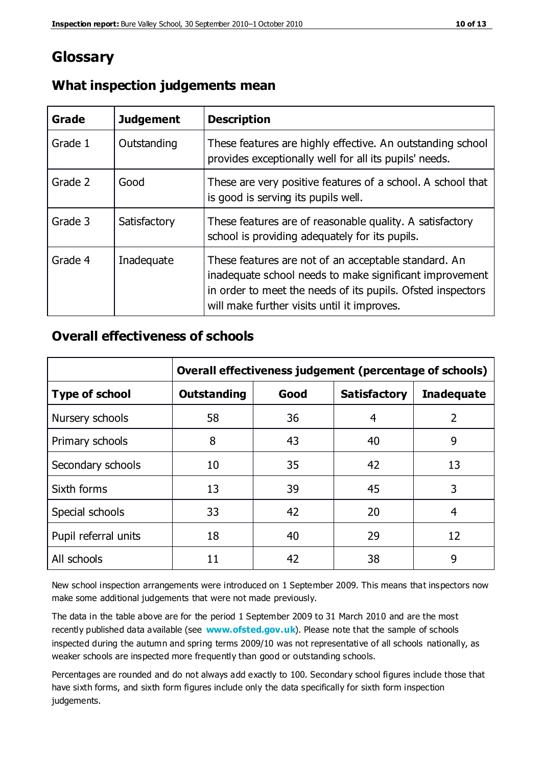## **Glossary**

| Grade   | <b>Judgement</b> | <b>Description</b>                                                                                                                                                                                                            |
|---------|------------------|-------------------------------------------------------------------------------------------------------------------------------------------------------------------------------------------------------------------------------|
| Grade 1 | Outstanding      | These features are highly effective. An outstanding school<br>provides exceptionally well for all its pupils' needs.                                                                                                          |
| Grade 2 | Good             | These are very positive features of a school. A school that<br>is good is serving its pupils well.                                                                                                                            |
| Grade 3 | Satisfactory     | These features are of reasonable quality. A satisfactory<br>school is providing adequately for its pupils.                                                                                                                    |
| Grade 4 | Inadequate       | These features are not of an acceptable standard. An<br>inadequate school needs to make significant improvement<br>in order to meet the needs of its pupils. Ofsted inspectors<br>will make further visits until it improves. |

## **What inspection judgements mean**

## **Overall effectiveness of schools**

|                       | Overall effectiveness judgement (percentage of schools) |      |                     |                   |
|-----------------------|---------------------------------------------------------|------|---------------------|-------------------|
| <b>Type of school</b> | <b>Outstanding</b>                                      | Good | <b>Satisfactory</b> | <b>Inadequate</b> |
| Nursery schools       | 58                                                      | 36   | 4                   | $\overline{2}$    |
| Primary schools       | 8                                                       | 43   | 40                  | 9                 |
| Secondary schools     | 10                                                      | 35   | 42                  | 13                |
| Sixth forms           | 13                                                      | 39   | 45                  | 3                 |
| Special schools       | 33                                                      | 42   | 20                  | 4                 |
| Pupil referral units  | 18                                                      | 40   | 29                  | 12                |
| All schools           | 11                                                      | 42   | 38                  | 9                 |

New school inspection arrangements were introduced on 1 September 2009. This means that inspectors now make some additional judgements that were not made previously.

The data in the table above are for the period 1 September 2009 to 31 March 2010 and are the most recently published data available (see **[www.ofsted.gov.uk](http://www.ofsted.gov.uk/)**). Please note that the sample of schools inspected during the autumn and spring terms 2009/10 was not representative of all schools nationally, as weaker schools are inspected more frequently than good or outstanding schools.

Percentages are rounded and do not always add exactly to 100. Secondary school figures include those that have sixth forms, and sixth form figures include only the data specifically for sixth form inspection judgements.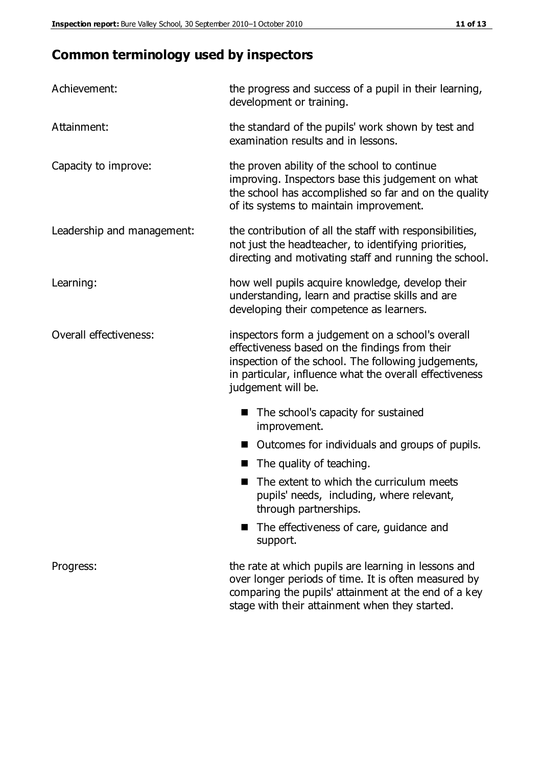# **Common terminology used by inspectors**

| Achievement:               | the progress and success of a pupil in their learning,<br>development or training.                                                                                                                                                          |  |  |
|----------------------------|---------------------------------------------------------------------------------------------------------------------------------------------------------------------------------------------------------------------------------------------|--|--|
| Attainment:                | the standard of the pupils' work shown by test and<br>examination results and in lessons.                                                                                                                                                   |  |  |
| Capacity to improve:       | the proven ability of the school to continue<br>improving. Inspectors base this judgement on what<br>the school has accomplished so far and on the quality<br>of its systems to maintain improvement.                                       |  |  |
| Leadership and management: | the contribution of all the staff with responsibilities,<br>not just the headteacher, to identifying priorities,<br>directing and motivating staff and running the school.                                                                  |  |  |
| Learning:                  | how well pupils acquire knowledge, develop their<br>understanding, learn and practise skills and are<br>developing their competence as learners.                                                                                            |  |  |
| Overall effectiveness:     | inspectors form a judgement on a school's overall<br>effectiveness based on the findings from their<br>inspection of the school. The following judgements,<br>in particular, influence what the overall effectiveness<br>judgement will be. |  |  |
|                            | The school's capacity for sustained<br>improvement.                                                                                                                                                                                         |  |  |
|                            | Outcomes for individuals and groups of pupils.                                                                                                                                                                                              |  |  |
|                            | The quality of teaching.                                                                                                                                                                                                                    |  |  |
|                            | The extent to which the curriculum meets<br>pupils' needs, including, where relevant,<br>through partnerships.                                                                                                                              |  |  |
|                            | The effectiveness of care, guidance and<br>support.                                                                                                                                                                                         |  |  |
| Progress:                  | the rate at which pupils are learning in lessons and<br>over longer periods of time. It is often measured by<br>comparing the pupils' attainment at the end of a key                                                                        |  |  |

stage with their attainment when they started.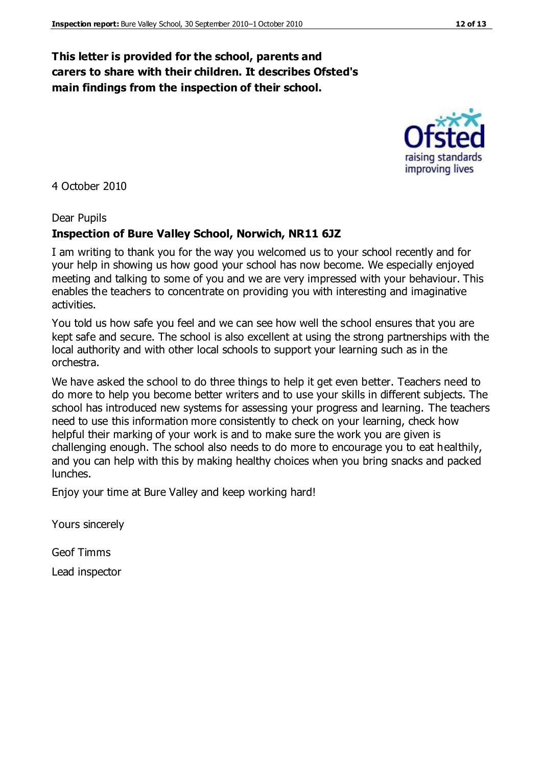## **This letter is provided for the school, parents and carers to share with their children. It describes Ofsted's main findings from the inspection of their school.**

4 October 2010

#### Dear Pupils

#### **Inspection of Bure Valley School, Norwich, NR11 6JZ**

I am writing to thank you for the way you welcomed us to your school recently and for your help in showing us how good your school has now become. We especially enjoyed meeting and talking to some of you and we are very impressed with your behaviour. This enables the teachers to concentrate on providing you with interesting and imaginative activities.

You told us how safe you feel and we can see how well the school ensures that you are kept safe and secure. The school is also excellent at using the strong partnerships with the local authority and with other local schools to support your learning such as in the orchestra.

We have asked the school to do three things to help it get even better. Teachers need to do more to help you become better writers and to use your skills in different subjects. The school has introduced new systems for assessing your progress and learning. The teachers need to use this information more consistently to check on your learning, check how helpful their marking of your work is and to make sure the work you are given is challenging enough. The school also needs to do more to encourage you to eat healthily, and you can help with this by making healthy choices when you bring snacks and packed lunches.

Enjoy your time at Bure Valley and keep working hard!

Yours sincerely

Geof Timms Lead inspector